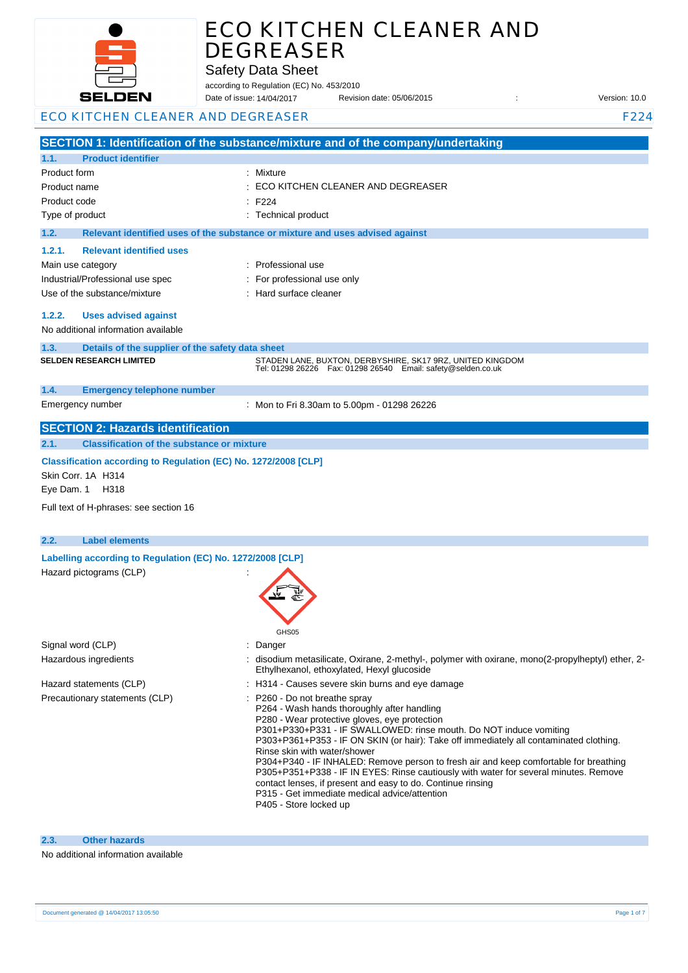

Safety Data Sheet

according to Regulation (EC) No. 453/2010 Date of issue: Revision date: 05/06/2015 : Version: 10.0 Date of issue: 14/04/2017

| ECO KITCHEN CLEANER AND DEGREASER |  |
|-----------------------------------|--|

|                                                                                       | SECTION 1: Identification of the substance/mixture and of the company/undertaking                                     |
|---------------------------------------------------------------------------------------|-----------------------------------------------------------------------------------------------------------------------|
| 1.1.<br><b>Product identifier</b>                                                     |                                                                                                                       |
| Product form                                                                          | Mixture                                                                                                               |
| Product name                                                                          | ECO KITCHEN CLEANER AND DEGREASER                                                                                     |
| Product code                                                                          | F <sub>224</sub>                                                                                                      |
| Type of product                                                                       | : Technical product                                                                                                   |
| 1.2.                                                                                  | Relevant identified uses of the substance or mixture and uses advised against                                         |
| <b>Relevant identified uses</b><br>1.2.1.                                             |                                                                                                                       |
| Main use category                                                                     | Professional use                                                                                                      |
| Industrial/Professional use spec                                                      | For professional use only                                                                                             |
| Use of the substance/mixture                                                          | Hard surface cleaner                                                                                                  |
| 1.2.2.<br><b>Uses advised against</b>                                                 |                                                                                                                       |
| No additional information available                                                   |                                                                                                                       |
| 1.3.<br>Details of the supplier of the safety data sheet                              |                                                                                                                       |
| <b>SELDEN RESEARCH LIMITED</b>                                                        | STADEN LANE, BUXTON, DERBYSHIRE, SK17 9RZ, UNITED KINGDOM                                                             |
|                                                                                       | Tel: 01298 26226    Fax: 01298 26540    Email: safety@selden.co.uk                                                    |
| 1.4.<br><b>Emergency telephone number</b>                                             |                                                                                                                       |
| Emergency number                                                                      | : Mon to Fri 8.30am to 5.00pm - 01298 26226                                                                           |
| <b>SECTION 2: Hazards identification</b>                                              |                                                                                                                       |
| <b>Classification of the substance or mixture</b><br>2.1.                             |                                                                                                                       |
|                                                                                       |                                                                                                                       |
| Classification according to Regulation (EC) No. 1272/2008 [CLP]<br>Skin Corr. 1A H314 |                                                                                                                       |
| Eye Dam. 1 H318                                                                       |                                                                                                                       |
|                                                                                       |                                                                                                                       |
| Full text of H-phrases: see section 16                                                |                                                                                                                       |
|                                                                                       |                                                                                                                       |
| 2.2.<br><b>Label elements</b>                                                         |                                                                                                                       |
| Labelling according to Regulation (EC) No. 1272/2008 [CLP]                            |                                                                                                                       |
| Hazard pictograms (CLP)                                                               |                                                                                                                       |
|                                                                                       |                                                                                                                       |
|                                                                                       |                                                                                                                       |
|                                                                                       |                                                                                                                       |
| Signal word (CLP)                                                                     | GHS <sub>05</sub>                                                                                                     |
| Hazardous ingredients                                                                 | Danger<br>disodium metasilicate, Oxirane, 2-methyl-, polymer with oxirane, mono(2-propylheptyl) ether, 2-             |
|                                                                                       | Ethylhexanol, ethoxylated, Hexyl glucoside                                                                            |
| Hazard statements (CLP)                                                               | : H314 - Causes severe skin burns and eye damage                                                                      |
| Precautionary statements (CLP)                                                        | : P260 - Do not breathe spray                                                                                         |
|                                                                                       | P264 - Wash hands thoroughly after handling<br>P280 - Wear protective gloves, eye protection                          |
|                                                                                       | P301+P330+P331 - IF SWALLOWED: rinse mouth. Do NOT induce vomiting                                                    |
|                                                                                       | P303+P361+P353 - IF ON SKIN (or hair): Take off immediately all contaminated clothing.                                |
|                                                                                       | Rinse skin with water/shower<br>P304+P340 - IF INHALED: Remove person to fresh air and keep comfortable for breathing |
|                                                                                       | P305+P351+P338 - IF IN EYES: Rinse cautiously with water for several minutes. Remove                                  |
|                                                                                       | contact lenses, if present and easy to do. Continue rinsing<br>P315 - Get immediate medical advice/attention          |
|                                                                                       | P405 - Store locked up                                                                                                |
|                                                                                       |                                                                                                                       |
|                                                                                       |                                                                                                                       |

#### **2.3. Other hazards**

#### No additional information available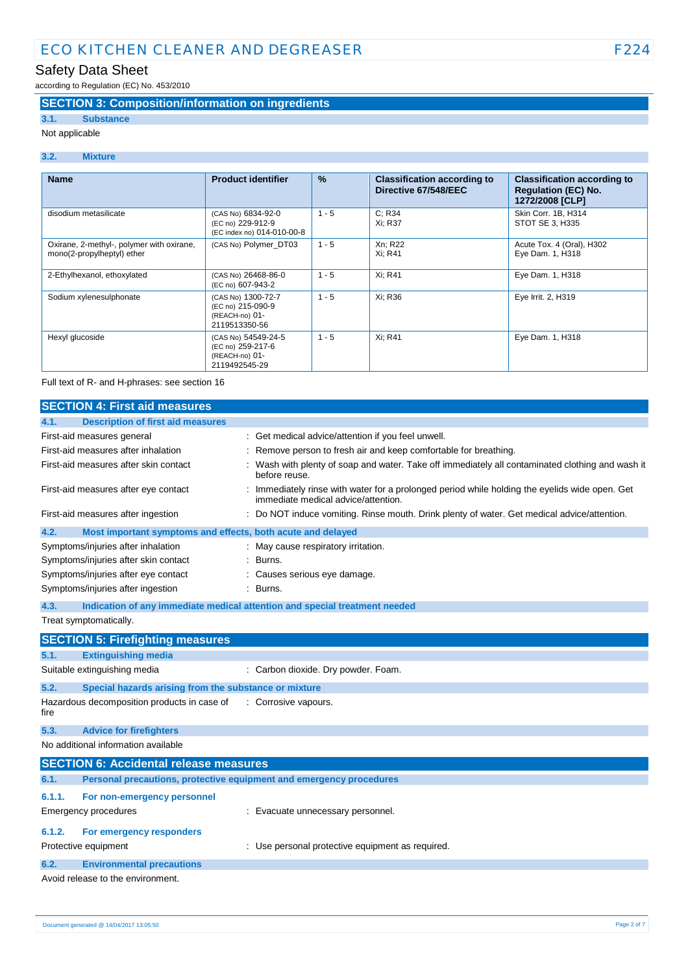# Safety Data Sheet

according to Regulation (EC) No. 453/2010

### **SECTION 3: Composition/information on ingredients**

# **3.1. Substance**

Not applicable

#### **3.2. Mixture**

| <b>Name</b>                                                             | <b>Product identifier</b>                                                   | $\frac{9}{6}$ | <b>Classification according to</b><br>Directive 67/548/EEC | <b>Classification according to</b><br><b>Requlation (EC) No.</b><br>1272/2008 [CLP] |
|-------------------------------------------------------------------------|-----------------------------------------------------------------------------|---------------|------------------------------------------------------------|-------------------------------------------------------------------------------------|
| disodium metasilicate                                                   | (CAS No) 6834-92-0<br>(EC no) 229-912-9<br>(EC index no) 014-010-00-8       | $1 - 5$       | C: R34<br>Xi: R37                                          | Skin Corr. 1B, H314<br>STOT SE 3, H335                                              |
| Oxirane, 2-methyl-, polymer with oxirane,<br>mono(2-propylheptyl) ether | (CAS No) Polymer DT03                                                       | $1 - 5$       | Xn; R22<br>Xi: R41                                         | Acute Tox. 4 (Oral), H302<br>Eye Dam. 1, H318                                       |
| 2-Ethylhexanol, ethoxylated                                             | (CAS No) 26468-86-0<br>(EC no) 607-943-2                                    | $1 - 5$       | Xi: R41                                                    | Eye Dam. 1, H318                                                                    |
| Sodium xylenesulphonate                                                 | (CAS No) 1300-72-7<br>(EC no) 215-090-9<br>(REACH-no) 01-<br>2119513350-56  | $1 - 5$       | Xi: R36                                                    | Eye Irrit. 2, H319                                                                  |
| Hexyl glucoside                                                         | (CAS No) 54549-24-5<br>(EC no) 259-217-6<br>(REACH-no) 01-<br>2119492545-29 | $1 - 5$       | Xi: R41                                                    | Eye Dam. 1, H318                                                                    |

Full text of R- and H-phrases: see section 16

|        | <b>SECTION 4: First aid measures</b>                                       |                                                                                                                                       |
|--------|----------------------------------------------------------------------------|---------------------------------------------------------------------------------------------------------------------------------------|
| 4.1.   | <b>Description of first aid measures</b>                                   |                                                                                                                                       |
|        | First-aid measures general                                                 | : Get medical advice/attention if you feel unwell.                                                                                    |
|        | First-aid measures after inhalation                                        | Remove person to fresh air and keep comfortable for breathing.                                                                        |
|        | First-aid measures after skin contact                                      | Wash with plenty of soap and water. Take off immediately all contaminated clothing and wash it<br>before reuse.                       |
|        | First-aid measures after eye contact                                       | : Immediately rinse with water for a prolonged period while holding the eyelids wide open. Get<br>immediate medical advice/attention. |
|        | First-aid measures after ingestion                                         | Do NOT induce vomiting. Rinse mouth. Drink plenty of water. Get medical advice/attention.                                             |
| 4.2.   | Most important symptoms and effects, both acute and delayed                |                                                                                                                                       |
|        | Symptoms/injuries after inhalation                                         | : May cause respiratory irritation.                                                                                                   |
|        | Symptoms/injuries after skin contact                                       | Burns.                                                                                                                                |
|        | Symptoms/injuries after eye contact                                        | Causes serious eye damage.                                                                                                            |
|        | Symptoms/injuries after ingestion                                          | : Burns.                                                                                                                              |
| 4.3.   | Indication of any immediate medical attention and special treatment needed |                                                                                                                                       |
|        | Treat symptomatically.                                                     |                                                                                                                                       |
|        | <b>SECTION 5: Firefighting measures</b>                                    |                                                                                                                                       |
| 5.1.   | <b>Extinguishing media</b>                                                 |                                                                                                                                       |
|        | Suitable extinguishing media                                               | : Carbon dioxide. Dry powder. Foam.                                                                                                   |
|        |                                                                            |                                                                                                                                       |
| 5.2.   | Special hazards arising from the substance or mixture                      |                                                                                                                                       |
| fire   | Hazardous decomposition products in case of                                | : Corrosive vapours.                                                                                                                  |
| 5.3.   | <b>Advice for firefighters</b>                                             |                                                                                                                                       |
|        | No additional information available                                        |                                                                                                                                       |
|        | <b>SECTION 6: Accidental release measures</b>                              |                                                                                                                                       |
| 6.1.   | Personal precautions, protective equipment and emergency procedures        |                                                                                                                                       |
| 6.1.1. | For non-emergency personnel                                                |                                                                                                                                       |
|        | <b>Emergency procedures</b>                                                | Evacuate unnecessary personnel.                                                                                                       |
| 6.1.2. | For emergency responders                                                   |                                                                                                                                       |
|        | Protective equipment                                                       | : Use personal protective equipment as required.                                                                                      |
| 6.2.   | <b>Environmental precautions</b>                                           |                                                                                                                                       |
|        | Avoid release to the environment.                                          |                                                                                                                                       |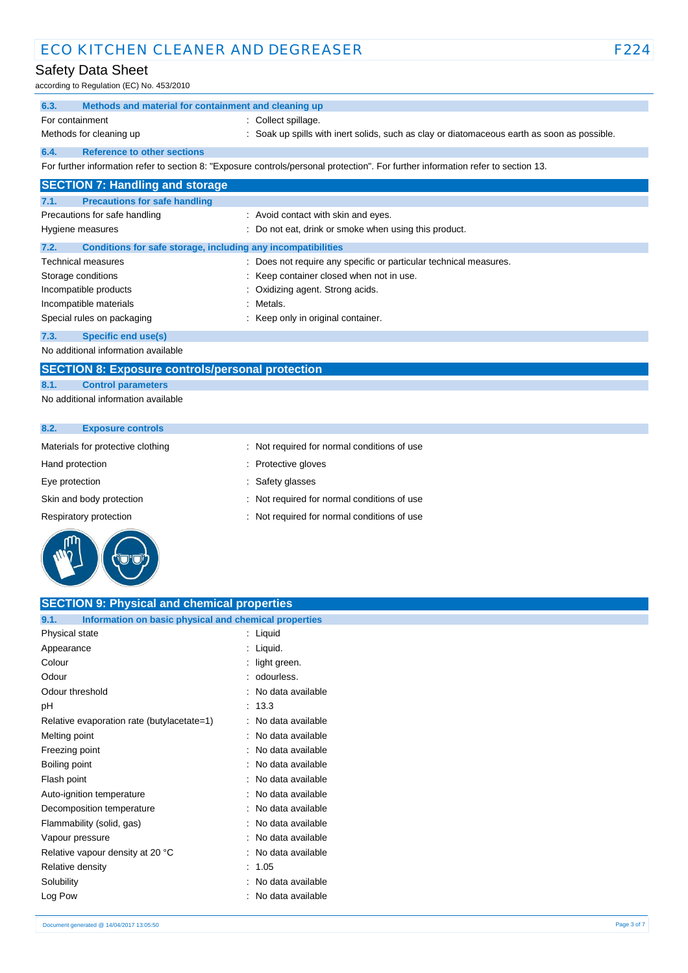# Safety Data Sheet

according to Regulation (EC) No. 453/2010

|                 | $10001$ and $1000$ $1000$ $1000$ $1000$ $1000$               |                                                                                                                                   |
|-----------------|--------------------------------------------------------------|-----------------------------------------------------------------------------------------------------------------------------------|
| 6.3.            | Methods and material for containment and cleaning up         |                                                                                                                                   |
| For containment |                                                              | : Collect spillage.                                                                                                               |
|                 | Methods for cleaning up                                      | : Soak up spills with inert solids, such as clay or diatomaceous earth as soon as possible.                                       |
| 6.4.            | <b>Reference to other sections</b>                           |                                                                                                                                   |
|                 |                                                              | For further information refer to section 8: "Exposure controls/personal protection". For further information refer to section 13. |
|                 | <b>SECTION 7: Handling and storage</b>                       |                                                                                                                                   |
| 7.1.            | <b>Precautions for safe handling</b>                         |                                                                                                                                   |
|                 | Precautions for safe handling                                | : Avoid contact with skin and eyes.                                                                                               |
|                 | Hygiene measures                                             | : Do not eat, drink or smoke when using this product.                                                                             |
| 7.2.            | Conditions for safe storage, including any incompatibilities |                                                                                                                                   |
|                 | Technical measures                                           | : Does not require any specific or particular technical measures.                                                                 |
|                 | Storage conditions                                           | : Keep container closed when not in use.                                                                                          |
|                 | Incompatible products                                        | : Oxidizing agent. Strong acids.                                                                                                  |
|                 | Incompatible materials                                       | : Metals.                                                                                                                         |
|                 | Special rules on packaging                                   | : Keep only in original container.                                                                                                |

#### **7.3. Specific end use(s)**

No additional information available

## **SECTION 8: Exposure controls/personal protection**

### **8.1. Control parameters**

No additional information available

| 8.2.<br><b>Exposure controls</b>  |                                             |
|-----------------------------------|---------------------------------------------|
| Materials for protective clothing | : Not required for normal conditions of use |
| Hand protection                   | : Protective gloves                         |
| Eye protection                    | Safety glasses                              |
| Skin and body protection          | : Not required for normal conditions of use |

Respiratory protection : Not required for normal conditions of use



| <b>SECTION 9: Physical and chemical properties</b>            |                     |
|---------------------------------------------------------------|---------------------|
| Information on basic physical and chemical properties<br>9.1. |                     |
| Physical state                                                | : Liquid            |
| Appearance                                                    | : Liquid.           |
| Colour                                                        | light green.        |
| Odour                                                         | odourless.          |
| Odour threshold                                               | No data available   |
| pH                                                            | : 13.3              |
| Relative evaporation rate (butylacetate=1)                    | : No data available |
| Melting point                                                 | : No data available |
| Freezing point                                                | : No data available |
| Boiling point                                                 | : No data available |
| Flash point                                                   | No data available   |
| Auto-ignition temperature                                     | No data available   |
| Decomposition temperature                                     | No data available   |
| Flammability (solid, gas)                                     | : No data available |
| Vapour pressure                                               | No data available   |
| Relative vapour density at 20 °C                              | : No data available |
| Relative density                                              | : 1.05              |
| Solubility                                                    | : No data available |
| Log Pow                                                       | No data available   |
|                                                               |                     |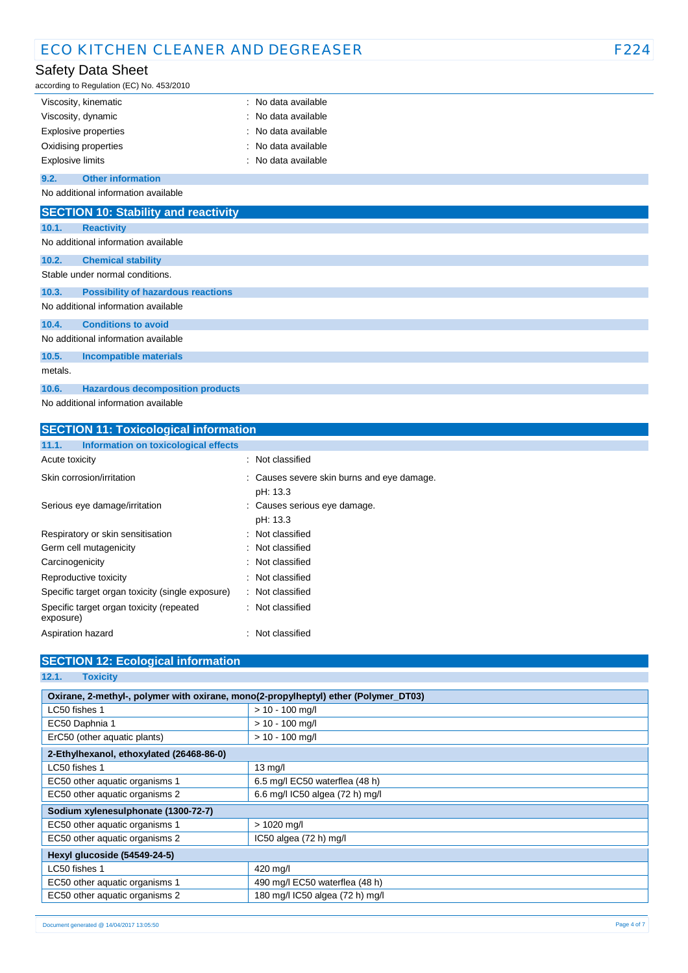## Safety Data Sheet

according to Regulation (EC) No. 453/2010

|                         | Viscosity, kinematic     | $:$ No data available |
|-------------------------|--------------------------|-----------------------|
| Viscosity, dynamic      |                          | : No data available   |
|                         | Explosive properties     | : No data available   |
|                         | Oxidising properties     | $:$ No data available |
| <b>Explosive limits</b> |                          | : No data available   |
| 9.2.                    | <b>Other information</b> |                       |

No additional information available

|         | <b>SECTION 10: Stability and reactivity</b> |
|---------|---------------------------------------------|
| 10.1.   | <b>Reactivity</b>                           |
|         | No additional information available         |
| 10.2.   | <b>Chemical stability</b>                   |
|         | Stable under normal conditions.             |
| 10.3.   | <b>Possibility of hazardous reactions</b>   |
|         | No additional information available         |
| 10.4.   | <b>Conditions to avoid</b>                  |
|         | No additional information available         |
| 10.5.   | <b>Incompatible materials</b>               |
| metals. |                                             |
| 10.6.   | <b>Hazardous decomposition products</b>     |

No additional information available

| <b>SECTION 11: Toxicological information</b>          |                                                        |
|-------------------------------------------------------|--------------------------------------------------------|
| Information on toxicological effects<br>11.1.         |                                                        |
| Acute toxicity                                        | : Not classified                                       |
| Skin corrosion/irritation                             | : Causes severe skin burns and eye damage.<br>pH: 13.3 |
| Serious eye damage/irritation                         | : Causes serious eye damage.<br>pH: 13.3               |
| Respiratory or skin sensitisation                     | Not classified<br>۰.                                   |
| Germ cell mutagenicity                                | Not classified                                         |
| Carcinogenicity                                       | : Not classified                                       |
| Reproductive toxicity                                 | : Not classified                                       |
| Specific target organ toxicity (single exposure)      | : Not classified                                       |
| Specific target organ toxicity (repeated<br>exposure) | : Not classified                                       |
| Aspiration hazard                                     | : Not classified                                       |

### **SECTION 12: Ecological information**

### **12.1. Toxicity**

| Oxirane, 2-methyl-, polymer with oxirane, mono(2-propylheptyl) ether (Polymer_DT03) |                                 |
|-------------------------------------------------------------------------------------|---------------------------------|
| LC50 fishes 1                                                                       | $> 10 - 100$ mg/l               |
| EC50 Daphnia 1                                                                      | $> 10 - 100$ mg/l               |
| ErC50 (other aquatic plants)                                                        | $> 10 - 100$ mg/l               |
| 2-Ethylhexanol, ethoxylated (26468-86-0)                                            |                                 |
| LC50 fishes 1                                                                       | $13 \text{ mg/l}$               |
| EC50 other aquatic organisms 1                                                      | 6.5 mg/l EC50 waterflea (48 h)  |
| EC50 other aquatic organisms 2                                                      | 6.6 mg/l IC50 algea (72 h) mg/l |
| Sodium xylenesulphonate (1300-72-7)                                                 |                                 |
| EC50 other aquatic organisms 1                                                      | $> 1020$ mg/l                   |
| EC50 other aquatic organisms 2                                                      | IC50 algea (72 h) mg/l          |
| Hexyl glucoside (54549-24-5)                                                        |                                 |
| LC50 fishes 1                                                                       | 420 mg/l                        |
| EC50 other aquatic organisms 1                                                      | 490 mg/l EC50 waterflea (48 h)  |
| EC50 other aquatic organisms 2                                                      | 180 mg/l IC50 algea (72 h) mg/l |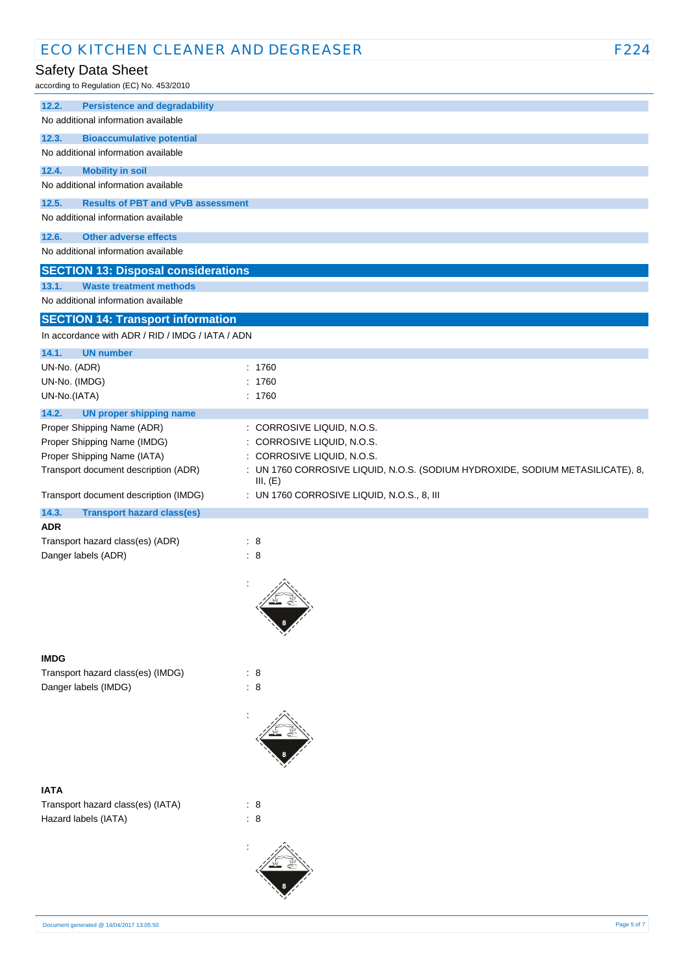### Safety Data Sheet

according to Regulation (EC) No. 453/2010

| 12.2.<br><b>Persistence and degradability</b>      |                                                                                |
|----------------------------------------------------|--------------------------------------------------------------------------------|
| No additional information available                |                                                                                |
| 12.3.<br><b>Bioaccumulative potential</b>          |                                                                                |
| No additional information available                |                                                                                |
| <b>Mobility in soil</b><br>12.4.                   |                                                                                |
| No additional information available                |                                                                                |
| <b>Results of PBT and vPvB assessment</b><br>12.5. |                                                                                |
| No additional information available                |                                                                                |
|                                                    |                                                                                |
| 12.6.<br><b>Other adverse effects</b>              |                                                                                |
| No additional information available                |                                                                                |
| <b>SECTION 13: Disposal considerations</b>         |                                                                                |
| 13.1.<br><b>Waste treatment methods</b>            |                                                                                |
| No additional information available                |                                                                                |
| <b>SECTION 14: Transport information</b>           |                                                                                |
| In accordance with ADR / RID / IMDG / IATA / ADN   |                                                                                |
| 14.1.<br><b>UN number</b>                          |                                                                                |
| UN-No. (ADR)                                       | : 1760                                                                         |
| UN-No. (IMDG)                                      | 1760                                                                           |
| UN-No.(IATA)                                       | : 1760                                                                         |
| 14.2.<br><b>UN proper shipping name</b>            |                                                                                |
| Proper Shipping Name (ADR)                         | : CORROSIVE LIQUID, N.O.S.                                                     |
| Proper Shipping Name (IMDG)                        | : CORROSIVE LIQUID, N.O.S.                                                     |
| Proper Shipping Name (IATA)                        | CORROSIVE LIQUID, N.O.S.<br>÷                                                  |
| Transport document description (ADR)               | : UN 1760 CORROSIVE LIQUID, N.O.S. (SODIUM HYDROXIDE, SODIUM METASILICATE), 8, |
|                                                    | III, (E)                                                                       |
| Transport document description (IMDG)              | : UN 1760 CORROSIVE LIQUID, N.O.S., 8, III                                     |
| <b>Transport hazard class(es)</b><br>14.3.         |                                                                                |
|                                                    |                                                                                |
| ADR                                                |                                                                                |
| Transport hazard class(es) (ADR)                   | : 8                                                                            |
| Danger labels (ADR)                                | : 8                                                                            |
|                                                    |                                                                                |
|                                                    |                                                                                |
|                                                    |                                                                                |
|                                                    |                                                                                |
|                                                    |                                                                                |
|                                                    |                                                                                |
| <b>IMDG</b>                                        |                                                                                |
| Transport hazard class(es) (IMDG)                  | : 8                                                                            |
| Danger labels (IMDG)                               | : 8                                                                            |
|                                                    |                                                                                |
|                                                    |                                                                                |
|                                                    |                                                                                |
|                                                    |                                                                                |
|                                                    |                                                                                |
| <b>IATA</b>                                        |                                                                                |
| Transport hazard class(es) (IATA)                  | : 8                                                                            |
| Hazard labels (IATA)                               | : 8                                                                            |
|                                                    |                                                                                |
|                                                    |                                                                                |
|                                                    |                                                                                |
|                                                    |                                                                                |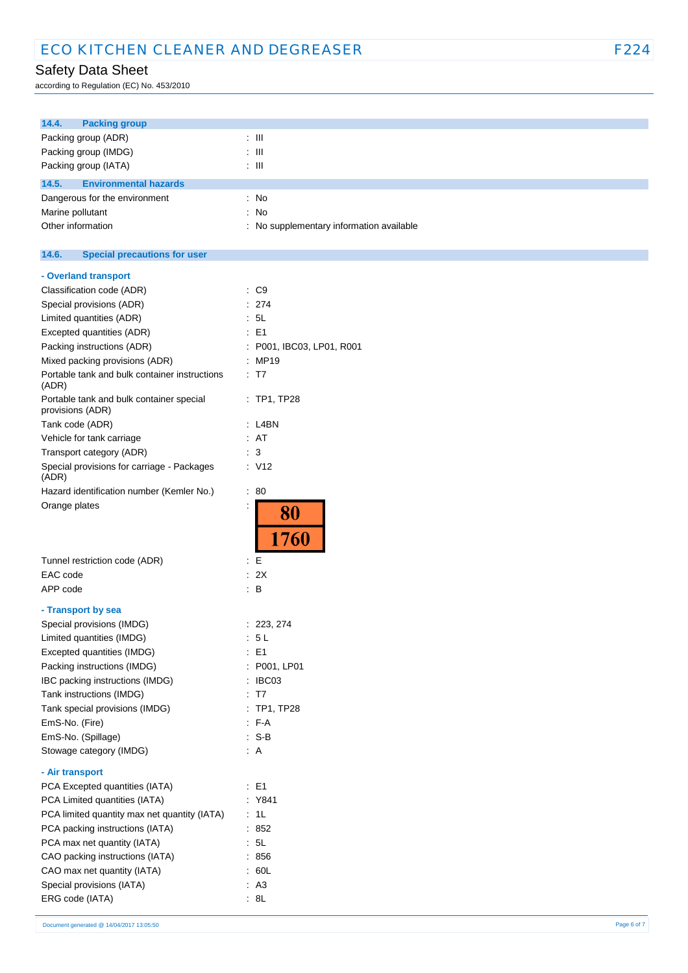# Safety Data Sheet

according to Regulation (EC) No. 453/2010

| 14.4.<br><b>Packing group</b>                                |                                             |
|--------------------------------------------------------------|---------------------------------------------|
| Packing group (ADR)                                          | $\therefore$ III                            |
| Packing group (IMDG)                                         | : III                                       |
| Packing group (IATA)                                         | : III                                       |
|                                                              |                                             |
| 14.5.<br><b>Environmental hazards</b>                        |                                             |
| Dangerous for the environment                                | $:$ No                                      |
| Marine pollutant                                             | No<br>÷                                     |
| Other information                                            | No supplementary information available<br>÷ |
| 14.6.<br><b>Special precautions for user</b>                 |                                             |
| - Overland transport                                         |                                             |
| Classification code (ADR)                                    | $\therefore$ C9                             |
| Special provisions (ADR)                                     | 274<br>÷                                    |
| Limited quantities (ADR)                                     | : 5L                                        |
| Excepted quantities (ADR)                                    | E <sub>1</sub><br>÷                         |
| Packing instructions (ADR)                                   | P001, IBC03, LP01, R001<br>÷                |
| Mixed packing provisions (ADR)                               | : MP19                                      |
| Portable tank and bulk container instructions<br>(ADR)       | $\therefore$ T7                             |
| Portable tank and bulk container special<br>provisions (ADR) | $:$ TP1, TP28                               |
| Tank code (ADR)                                              | $:$ L4BN                                    |
| Vehicle for tank carriage                                    | : AT                                        |
| Transport category (ADR)                                     | 3<br>÷                                      |
| Special provisions for carriage - Packages<br>(ADR)          | : V12                                       |
| Hazard identification number (Kemler No.)                    | $\therefore 80$                             |
| Orange plates                                                | 80<br>1760                                  |
| Tunnel restriction code (ADR)                                | E<br>÷                                      |
| EAC code                                                     | : 2X                                        |
| APP code                                                     | $\therefore$ B                              |
| - Transport by sea                                           |                                             |
| Special provisions (IMDG)                                    | : 223, 274                                  |
| Limited quantities (IMDG)                                    | $5 L$<br>÷                                  |
| Excepted quantities (IMDG)                                   | E1<br>÷                                     |
| Packing instructions (IMDG)                                  | P001, LP01<br>÷                             |
| IBC packing instructions (IMDG)                              | IBC03<br>÷                                  |
| Tank instructions (IMDG)                                     | : T7                                        |
| Tank special provisions (IMDG)                               | : TP1, TP28                                 |
| EmS-No. (Fire)                                               | $F-A$                                       |
| EmS-No. (Spillage)                                           | $: S-B$                                     |
| Stowage category (IMDG)                                      | : A                                         |
| - Air transport                                              |                                             |
| PCA Excepted quantities (IATA)                               | $\therefore$ E1                             |
| PCA Limited quantities (IATA)                                | : Y841                                      |
| PCA limited quantity max net quantity (IATA)                 | $\therefore$ 1L                             |
| PCA packing instructions (IATA)                              | : 852                                       |
| PCA max net quantity (IATA)                                  | $\therefore$ 5L                             |
| CAO packing instructions (IATA)                              | : 856                                       |
| CAO max net quantity (IATA)                                  | : 60L                                       |
| Special provisions (IATA)                                    | : A3                                        |
| ERG code (IATA)                                              | : 8L                                        |
|                                                              |                                             |